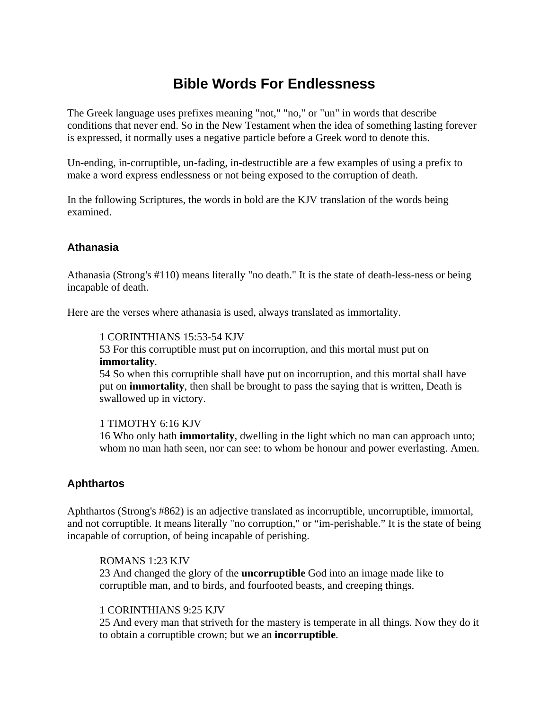# **Bible Words For Endlessness**

The Greek language uses prefixes meaning "not," "no," or "un" in words that describe conditions that never end. So in the New Testament when the idea of something lasting forever is expressed, it normally uses a negative particle before a Greek word to denote this.

Un-ending, in-corruptible, un-fading, in-destructible are a few examples of using a prefix to make a word express endlessness or not being exposed to the corruption of death.

In the following Scriptures, the words in bold are the KJV translation of the words being examined.

# **Athanasia**

Athanasia (Strong's #110) means literally "no death." It is the state of death-less-ness or being incapable of death.

Here are the verses where athanasia is used, always translated as immortality.

#### 1 CORINTHIANS 15:53-54 KJV

53 For this corruptible must put on incorruption, and this mortal must put on **immortality**.

54 So when this corruptible shall have put on incorruption, and this mortal shall have put on **immortality**, then shall be brought to pass the saying that is written, Death is swallowed up in victory.

## 1 TIMOTHY 6:16 KJV

16 Who only hath **immortality**, dwelling in the light which no man can approach unto; whom no man hath seen, nor can see: to whom be honour and power everlasting. Amen.

# **Aphthartos**

Aphthartos (Strong's #862) is an adjective translated as incorruptible, uncorruptible, immortal, and not corruptible. It means literally "no corruption," or "im-perishable." It is the state of being incapable of corruption, of being incapable of perishing.

## ROMANS 1:23 KJV

23 And changed the glory of the **uncorruptible** God into an image made like to corruptible man, and to birds, and fourfooted beasts, and creeping things.

## 1 CORINTHIANS 9:25 KJV

25 And every man that striveth for the mastery is temperate in all things. Now they do it to obtain a corruptible crown; but we an **incorruptible**.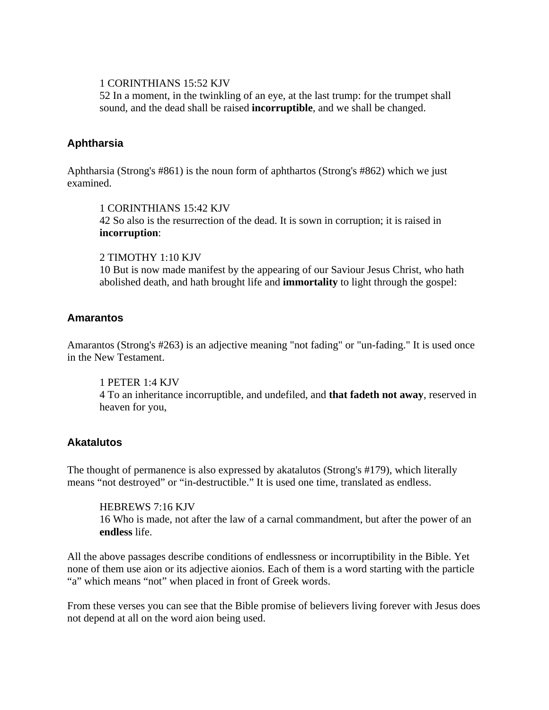### 1 CORINTHIANS 15:52 KJV

52 In a moment, in the twinkling of an eye, at the last trump: for the trumpet shall sound, and the dead shall be raised **incorruptible**, and we shall be changed.

## **Aphtharsia**

Aphtharsia (Strong's #861) is the noun form of aphthartos (Strong's #862) which we just examined.

#### 1 CORINTHIANS 15:42 KJV

42 So also is the resurrection of the dead. It is sown in corruption; it is raised in **incorruption**:

## 2 TIMOTHY 1:10 KJV

10 But is now made manifest by the appearing of our Saviour Jesus Christ, who hath abolished death, and hath brought life and **immortality** to light through the gospel:

## **Amarantos**

Amarantos (Strong's #263) is an adjective meaning "not fading" or "un-fading." It is used once in the New Testament.

1 PETER 1:4 KJV 4 To an inheritance incorruptible, and undefiled, and **that fadeth not away**, reserved in heaven for you,

# **Akatalutos**

The thought of permanence is also expressed by akatalutos (Strong's #179), which literally means "not destroyed" or "in-destructible." It is used one time, translated as endless.

HEBREWS 7:16 KJV 16 Who is made, not after the law of a carnal commandment, but after the power of an **endless** life.

All the above passages describe conditions of endlessness or incorruptibility in the Bible. Yet none of them use aion or its adjective aionios. Each of them is a word starting with the particle "a" which means "not" when placed in front of Greek words.

From these verses you can see that the Bible promise of believers living forever with Jesus does not depend at all on the word aion being used.